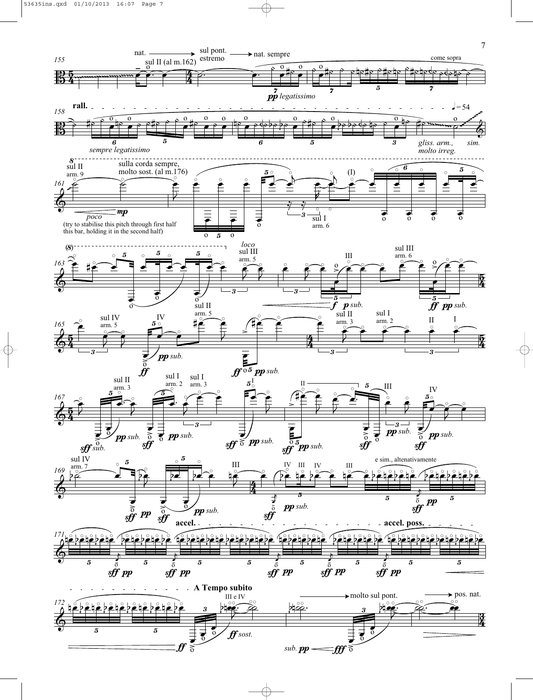